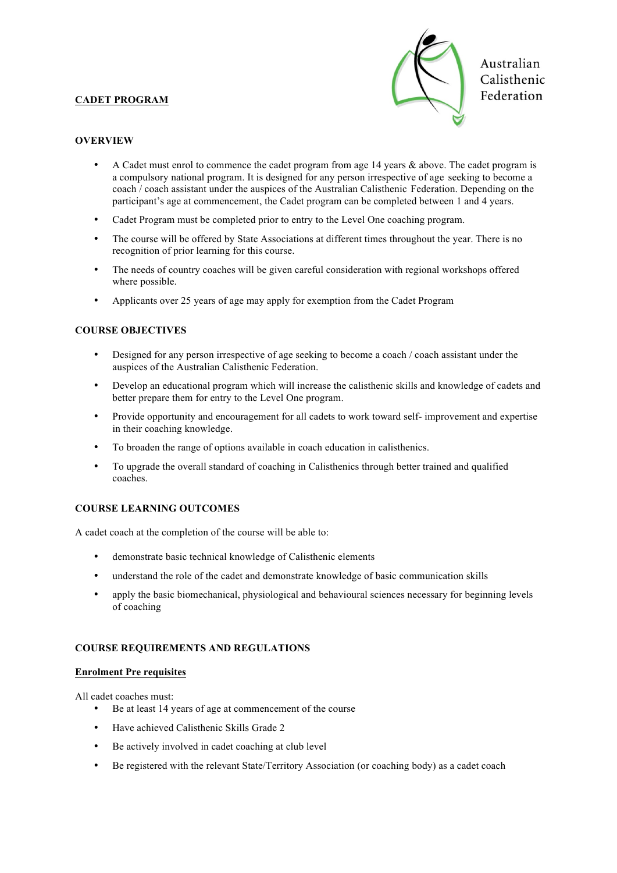## **CADET PROGRAM**



Australian Calisthenic Federation

### **OVERVIEW**

- A Cadet must enrol to commence the cadet program from age 14 years & above. The cadet program is a compulsory national program. It is designed for any person irrespective of age seeking to become a coach / coach assistant under the auspices of the Australian Calisthenic Federation. Depending on the participant's age at commencement, the Cadet program can be completed between 1 and 4 years.
- Cadet Program must be completed prior to entry to the Level One coaching program.
- The course will be offered by State Associations at different times throughout the year. There is no recognition of prior learning for this course.
- The needs of country coaches will be given careful consideration with regional workshops offered where possible.
- Applicants over 25 years of age may apply for exemption from the Cadet Program

## **COURSE OBJECTIVES**

- Designed for any person irrespective of age seeking to become a coach / coach assistant under the auspices of the Australian Calisthenic Federation.
- Develop an educational program which will increase the calisthenic skills and knowledge of cadets and better prepare them for entry to the Level One program.
- Provide opportunity and encouragement for all cadets to work toward self- improvement and expertise in their coaching knowledge.
- To broaden the range of options available in coach education in calisthenics.
- To upgrade the overall standard of coaching in Calisthenics through better trained and qualified coaches.

## **COURSE LEARNING OUTCOMES**

A cadet coach at the completion of the course will be able to:

- demonstrate basic technical knowledge of Calisthenic elements
- understand the role of the cadet and demonstrate knowledge of basic communication skills
- apply the basic biomechanical, physiological and behavioural sciences necessary for beginning levels of coaching

#### **COURSE REQUIREMENTS AND REGULATIONS**

#### **Enrolment Pre requisites**

All cadet coaches must:

- Be at least 14 years of age at commencement of the course
- Have achieved Calisthenic Skills Grade 2
- Be actively involved in cadet coaching at club level
- Be registered with the relevant State/Territory Association (or coaching body) as a cadet coach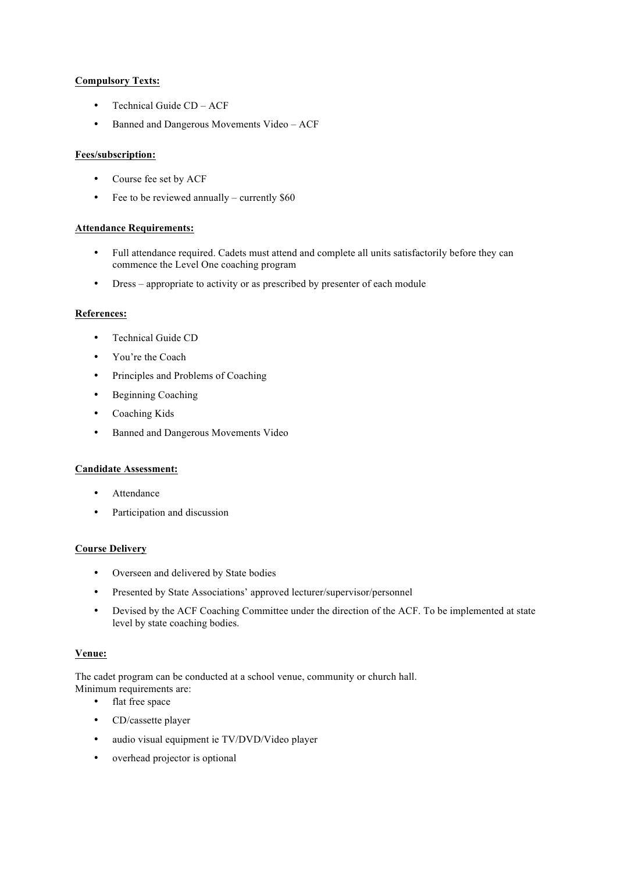## **Compulsory Texts:**

- Technical Guide CD ACF
- Banned and Dangerous Movements Video ACF

#### **Fees/subscription:**

- Course fee set by ACF
- Fee to be reviewed annually currently \$60

#### **Attendance Requirements:**

- Full attendance required. Cadets must attend and complete all units satisfactorily before they can commence the Level One coaching program
- Dress appropriate to activity or as prescribed by presenter of each module

#### **References:**

- Technical Guide CD
- You're the Coach
- Principles and Problems of Coaching
- Beginning Coaching
- Coaching Kids
- Banned and Dangerous Movements Video

#### **Candidate Assessment:**

- Attendance
- Participation and discussion

#### **Course Delivery**

- Overseen and delivered by State bodies
- Presented by State Associations' approved lecturer/supervisor/personnel
- Devised by the ACF Coaching Committee under the direction of the ACF. To be implemented at state level by state coaching bodies.

#### **Venue:**

The cadet program can be conducted at a school venue, community or church hall. Minimum requirements are:

- flat free space
- CD/cassette player
- audio visual equipment ie TV/DVD/Video player
- overhead projector is optional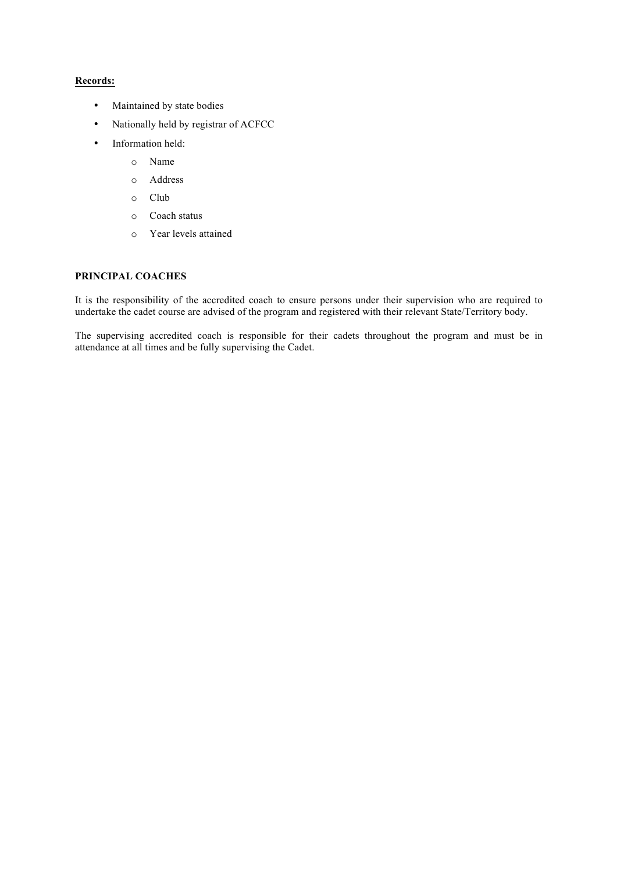## **Records:**

- Maintained by state bodies
- Nationally held by registrar of ACFCC
- Information held:
	- o Name
	- o Address
	- o Club
	- o Coach status
	- o Year levels attained

#### **PRINCIPAL COACHES**

It is the responsibility of the accredited coach to ensure persons under their supervision who are required to undertake the cadet course are advised of the program and registered with their relevant State/Territory body.

The supervising accredited coach is responsible for their cadets throughout the program and must be in attendance at all times and be fully supervising the Cadet.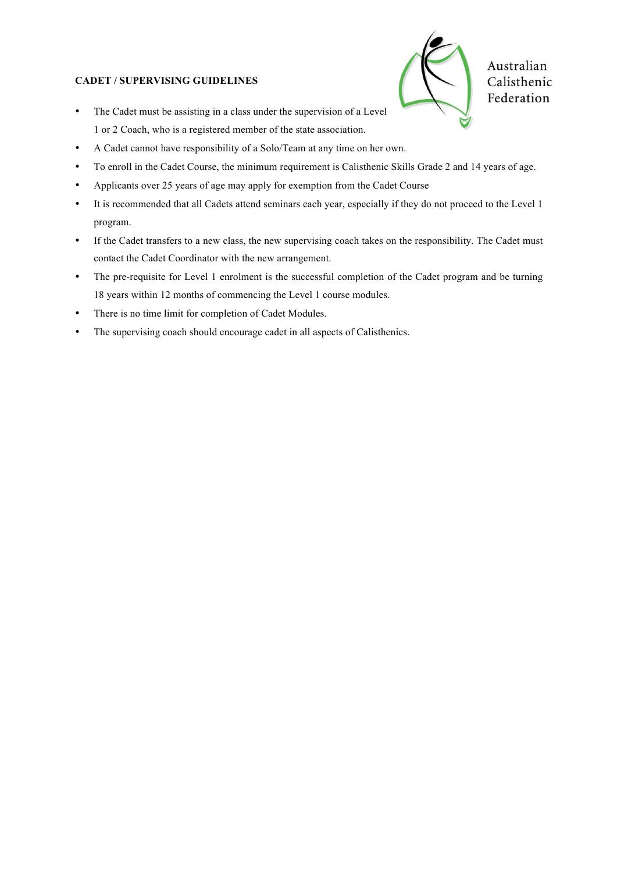## **CADET / SUPERVISING GUIDELINES**



Australian Calisthenic Federation

- The Cadet must be assisting in a class under the supervision of a Level 1 or 2 Coach, who is a registered member of the state association.
- A Cadet cannot have responsibility of a Solo/Team at any time on her own.
- To enroll in the Cadet Course, the minimum requirement is Calisthenic Skills Grade 2 and 14 years of age.
- Applicants over 25 years of age may apply for exemption from the Cadet Course
- It is recommended that all Cadets attend seminars each year, especially if they do not proceed to the Level 1 program.
- If the Cadet transfers to a new class, the new supervising coach takes on the responsibility. The Cadet must contact the Cadet Coordinator with the new arrangement.
- The pre-requisite for Level 1 enrolment is the successful completion of the Cadet program and be turning 18 years within 12 months of commencing the Level 1 course modules.
- There is no time limit for completion of Cadet Modules.
- The supervising coach should encourage cadet in all aspects of Calisthenics.